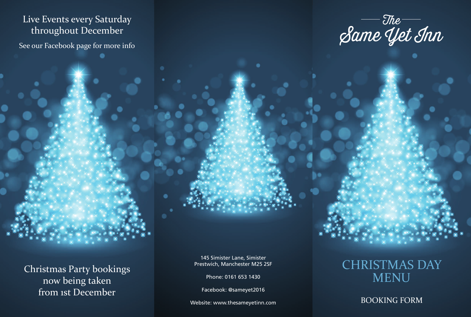### Live Events every Saturday throughout December

See our Facebook page for more info

The Same Yet Inn

Christmas Party bookings now being taken from 1st December

145 Simister Lane, Simister Prestwich, Manchester M25 2SF

Phone: 0161 653 1430

Facebook: @sameyet2016

## CHRISTMAS DAY MENU

Website: www.thesameyetinn.com BOOKING FORM